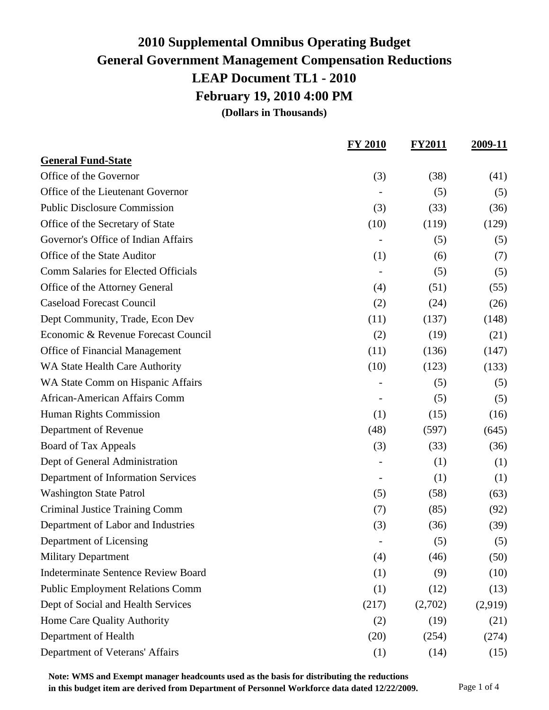**(Dollars in Thousands)**

|                                            | <b>FY 2010</b> | <b>FY2011</b> | 2009-11 |
|--------------------------------------------|----------------|---------------|---------|
| <b>General Fund-State</b>                  |                |               |         |
| Office of the Governor                     | (3)            | (38)          | (41)    |
| Office of the Lieutenant Governor          |                | (5)           | (5)     |
| <b>Public Disclosure Commission</b>        | (3)            | (33)          | (36)    |
| Office of the Secretary of State           | (10)           | (119)         | (129)   |
| Governor's Office of Indian Affairs        |                | (5)           | (5)     |
| Office of the State Auditor                | (1)            | (6)           | (7)     |
| Comm Salaries for Elected Officials        |                | (5)           | (5)     |
| Office of the Attorney General             | (4)            | (51)          | (55)    |
| <b>Caseload Forecast Council</b>           | (2)            | (24)          | (26)    |
| Dept Community, Trade, Econ Dev            | (11)           | (137)         | (148)   |
| Economic & Revenue Forecast Council        | (2)            | (19)          | (21)    |
| <b>Office of Financial Management</b>      | (11)           | (136)         | (147)   |
| WA State Health Care Authority             | (10)           | (123)         | (133)   |
| WA State Comm on Hispanic Affairs          |                | (5)           | (5)     |
| African-American Affairs Comm              |                | (5)           | (5)     |
| Human Rights Commission                    | (1)            | (15)          | (16)    |
| Department of Revenue                      | (48)           | (597)         | (645)   |
| Board of Tax Appeals                       | (3)            | (33)          | (36)    |
| Dept of General Administration             |                | (1)           | (1)     |
| Department of Information Services         |                | (1)           | (1)     |
| <b>Washington State Patrol</b>             | (5)            | (58)          | (63)    |
| Criminal Justice Training Comm             | (7)            | (85)          | (92)    |
| Department of Labor and Industries         | (3)            | (36)          | (39)    |
| Department of Licensing                    |                | (5)           | (5)     |
| <b>Military Department</b>                 | (4)            | (46)          | (50)    |
| <b>Indeterminate Sentence Review Board</b> | (1)            | (9)           | (10)    |
| <b>Public Employment Relations Comm</b>    | (1)            | (12)          | (13)    |
| Dept of Social and Health Services         | (217)          | (2,702)       | (2,919) |
| Home Care Quality Authority                | (2)            | (19)          | (21)    |
| Department of Health                       | (20)           | (254)         | (274)   |
| Department of Veterans' Affairs            | (1)            | (14)          | (15)    |

**Note: WMS and Exempt manager headcounts used as the basis for distributing the reductions in this budget item are derived from Department of Personnel Workforce data dated 12/22/2009.** Page 1 of 4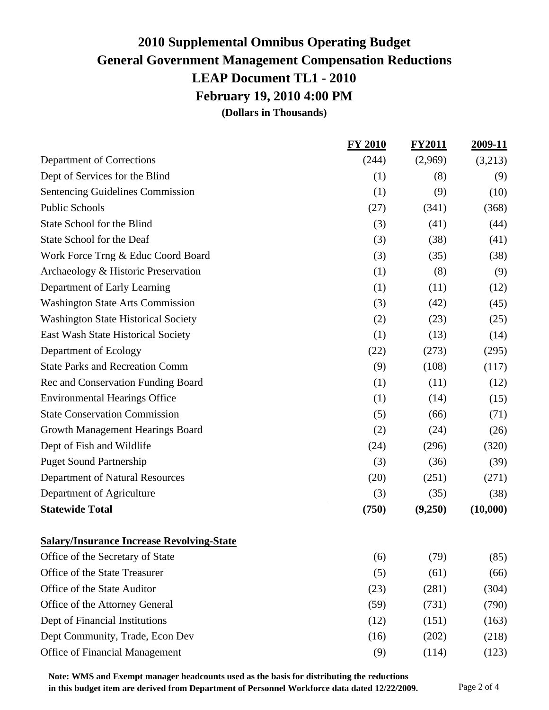**(Dollars in Thousands)**

|                                                  | FY 2010 | <b>FY2011</b> | 2009-11  |
|--------------------------------------------------|---------|---------------|----------|
| Department of Corrections                        | (244)   | (2,969)       | (3,213)  |
| Dept of Services for the Blind                   | (1)     | (8)           | (9)      |
| <b>Sentencing Guidelines Commission</b>          | (1)     | (9)           | (10)     |
| <b>Public Schools</b>                            | (27)    | (341)         | (368)    |
| State School for the Blind                       | (3)     | (41)          | (44)     |
| State School for the Deaf                        | (3)     | (38)          | (41)     |
| Work Force Trng & Educ Coord Board               | (3)     | (35)          | (38)     |
| Archaeology & Historic Preservation              | (1)     | (8)           | (9)      |
| Department of Early Learning                     | (1)     | (11)          | (12)     |
| <b>Washington State Arts Commission</b>          | (3)     | (42)          | (45)     |
| <b>Washington State Historical Society</b>       | (2)     | (23)          | (25)     |
| East Wash State Historical Society               | (1)     | (13)          | (14)     |
| Department of Ecology                            | (22)    | (273)         | (295)    |
| <b>State Parks and Recreation Comm</b>           | (9)     | (108)         | (117)    |
| Rec and Conservation Funding Board               | (1)     | (11)          | (12)     |
| <b>Environmental Hearings Office</b>             | (1)     | (14)          | (15)     |
| <b>State Conservation Commission</b>             | (5)     | (66)          | (71)     |
| Growth Management Hearings Board                 | (2)     | (24)          | (26)     |
| Dept of Fish and Wildlife                        | (24)    | (296)         | (320)    |
| <b>Puget Sound Partnership</b>                   | (3)     | (36)          | (39)     |
| Department of Natural Resources                  | (20)    | (251)         | (271)    |
| Department of Agriculture                        | (3)     | (35)          | (38)     |
| <b>Statewide Total</b>                           | (750)   | (9,250)       | (10,000) |
| <b>Salary/Insurance Increase Revolving-State</b> |         |               |          |
| Office of the Secretary of State                 | (6)     | (79)          | (85)     |
| Office of the State Treasurer                    | (5)     | (61)          | (66)     |
| Office of the State Auditor                      | (23)    | (281)         | (304)    |
| Office of the Attorney General                   | (59)    | (731)         | (790)    |
| Dept of Financial Institutions                   | (12)    | (151)         | (163)    |
| Dept Community, Trade, Econ Dev                  | (16)    | (202)         | (218)    |
| Office of Financial Management                   | (9)     | (114)         | (123)    |

**Note: WMS and Exempt manager headcounts used as the basis for distributing the reductions in this budget item are derived from Department of Personnel Workforce data dated 12/22/2009.** Page 2 of 4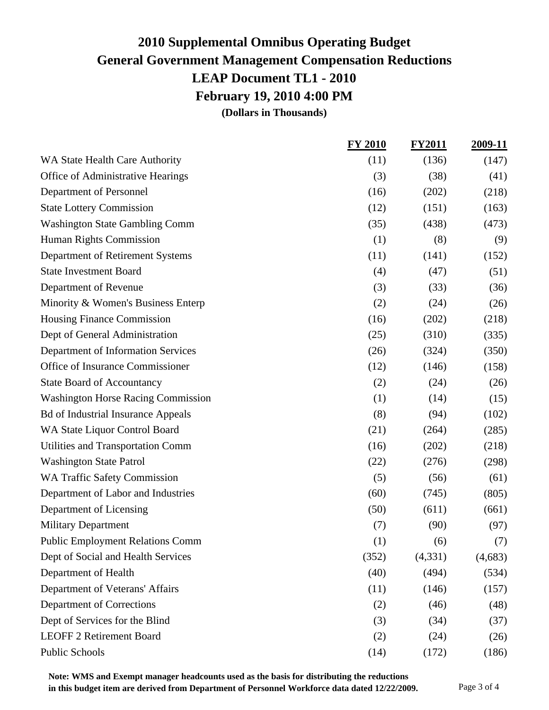**(Dollars in Thousands)**

|                                           | <b>FY 2010</b> | <b>FY2011</b> | 2009-11 |
|-------------------------------------------|----------------|---------------|---------|
| WA State Health Care Authority            | (11)           | (136)         | (147)   |
| Office of Administrative Hearings         | (3)            | (38)          | (41)    |
| Department of Personnel                   | (16)           | (202)         | (218)   |
| <b>State Lottery Commission</b>           | (12)           | (151)         | (163)   |
| <b>Washington State Gambling Comm</b>     | (35)           | (438)         | (473)   |
| <b>Human Rights Commission</b>            | (1)            | (8)           | (9)     |
| Department of Retirement Systems          | (11)           | (141)         | (152)   |
| <b>State Investment Board</b>             | (4)            | (47)          | (51)    |
| Department of Revenue                     | (3)            | (33)          | (36)    |
| Minority & Women's Business Enterp        | (2)            | (24)          | (26)    |
| Housing Finance Commission                | (16)           | (202)         | (218)   |
| Dept of General Administration            | (25)           | (310)         | (335)   |
| Department of Information Services        | (26)           | (324)         | (350)   |
| Office of Insurance Commissioner          | (12)           | (146)         | (158)   |
| <b>State Board of Accountancy</b>         | (2)            | (24)          | (26)    |
| <b>Washington Horse Racing Commission</b> | (1)            | (14)          | (15)    |
| <b>Bd of Industrial Insurance Appeals</b> | (8)            | (94)          | (102)   |
| WA State Liquor Control Board             | (21)           | (264)         | (285)   |
| <b>Utilities and Transportation Comm</b>  | (16)           | (202)         | (218)   |
| <b>Washington State Patrol</b>            | (22)           | (276)         | (298)   |
| <b>WA Traffic Safety Commission</b>       | (5)            | (56)          | (61)    |
| Department of Labor and Industries        | (60)           | (745)         | (805)   |
| Department of Licensing                   | (50)           | (611)         | (661)   |
| <b>Military Department</b>                | (7)            | (90)          | (97)    |
| <b>Public Employment Relations Comm</b>   | (1)            | (6)           | (7)     |
| Dept of Social and Health Services        | (352)          | (4,331)       | (4,683) |
| Department of Health                      | (40)           | (494)         | (534)   |
| Department of Veterans' Affairs           | (11)           | (146)         | (157)   |
| <b>Department of Corrections</b>          | (2)            | (46)          | (48)    |
| Dept of Services for the Blind            | (3)            | (34)          | (37)    |
| <b>LEOFF 2 Retirement Board</b>           | (2)            | (24)          | (26)    |
| <b>Public Schools</b>                     | (14)           | (172)         | (186)   |

**Note: WMS and Exempt manager headcounts used as the basis for distributing the reductions in this budget item are derived from Department of Personnel Workforce data dated 12/22/2009.** Page 3 of 4